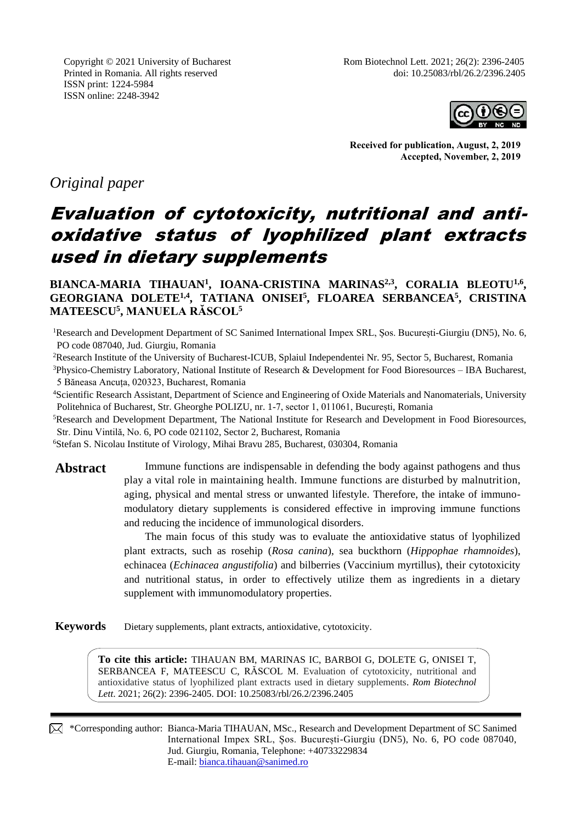ISSN print: 1224-5984 ISSN online: 2248-3942



**Received for publication, August, 2, 2019 Accepted, November, 2, 2019**

*Original paper*

# Evaluation of cytotoxicity, nutritional and antioxidative status of lyophilized plant extracts used in dietary supplements

**BIANCA-MARIA TIHAUAN<sup>1</sup> , IOANA-CRISTINA MARINAS2,3 , CORALIA BLEOTU1,6 , GEORGIANA DOLETE1,4 , TATIANA ONISEI<sup>5</sup> , FLOAREA SERBANCEA<sup>5</sup> , CRISTINA MATEESCU<sup>5</sup> , MANUELA RĂSCOL<sup>5</sup>**

<sup>1</sup>Research and Development Department of SC Sanimed International Impex SRL, Șos. București-Giurgiu (DN5), No. 6, PO code 087040, Jud. Giurgiu, Romania

<sup>2</sup>Research Institute of the University of Bucharest-ICUB, Splaiul Independentei Nr. 95, Sector 5, Bucharest, Romania

<sup>3</sup>Physico-Chemistry Laboratory, National Institute of Research & Development for Food Bioresources – IBA Bucharest, 5 Băneasa Ancuța, 020323, Bucharest, Romania

<sup>4</sup>Scientific Research Assistant, Department of Science and Engineering of Oxide Materials and Nanomaterials, University Politehnica of Bucharest, Str. Gheorghe POLIZU, nr. 1-7, sector 1, 011061, București, Romania

<sup>5</sup>Research and Development Department, The National Institute for Research and Development in Food Bioresources, Str. Dinu Vintilă, No. 6, PO code 021102, Sector 2, Bucharest, Romania

<sup>6</sup>Stefan S. Nicolau Institute of Virology, Mihai Bravu 285, Bucharest, 030304, Romania

**Abstract** Immune functions are indispensable in defending the body against pathogens and thus play a vital role in maintaining health. Immune functions are disturbed by malnutrition, aging, physical and mental stress or unwanted lifestyle. Therefore, the intake of immunomodulatory dietary supplements is considered effective in improving immune functions and reducing the incidence of immunological disorders.

> The main focus of this study was to evaluate the antioxidative status of lyophilized plant extracts, such as rosehip (*Rosa canina*), sea buckthorn (*Hippophae rhamnoides*), echinacea (*Echinacea angustifolia*) and bilberries (Vaccinium myrtillus), their cytotoxicity and nutritional status, in order to effectively utilize them as ingredients in a dietary supplement with immunomodulatory properties.

**Keywords** Dietary supplements, plant extracts, antioxidative, cytotoxicity.

**To cite this article:** TIHAUAN BM, MARINAS IC, BARBOI G, DOLETE G, ONISEI T, SERBANCEA F, MATEESCU C, RĂSCOL M. Evaluation of cytotoxicity, nutritional and antioxidative status of lyophilized plant extracts used in dietary supplements. *Rom Biotechnol Lett*. 2021; 26(2): 2396-2405. DOI: 10.25083/rbl/26.2/2396.2405

 \*Corresponding author: Bianca-Maria TIHAUAN, MSc., Research and Development Department of SC Sanimed International Impex SRL, Șos. București-Giurgiu (DN5), No. 6, PO code 087040, Jud. Giurgiu, Romania, Telephone: +40733229834 E-mail: bianca.tihauan@sanimed.ro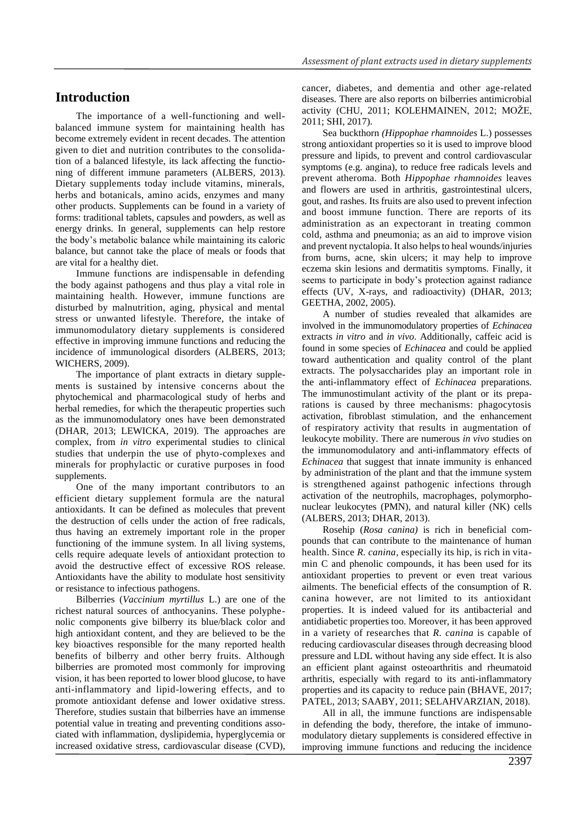## **Introduction**

The importance of a well-functioning and wellbalanced immune system for maintaining health has become extremely evident in recent decades. The attention given to diet and nutrition contributes to the consolidation of a balanced lifestyle, its lack affecting the functioning of different immune parameters (ALBERS, 2013). Dietary supplements today include vitamins, minerals, herbs and botanicals, amino acids, enzymes and many other products. Supplements can be found in a variety of forms: traditional tablets, capsules and powders, as well as energy drinks. In general, supplements can help restore the body's metabolic balance while maintaining its caloric balance, but cannot take the place of meals or foods that are vital for a healthy diet.

Immune functions are indispensable in defending the body against pathogens and thus play a vital role in maintaining health. However, immune functions are disturbed by malnutrition, aging, physical and mental stress or unwanted lifestyle. Therefore, the intake of immunomodulatory dietary supplements is considered effective in improving immune functions and reducing the incidence of immunological disorders (ALBERS, 2013; WICHERS, 2009).

The importance of plant extracts in dietary supplements is sustained by intensive concerns about the phytochemical and pharmacological study of herbs and herbal remedies, for which the therapeutic properties such as the immunomodulatory ones have been demonstrated (DHAR, 2013; LEWICKA, 2019). The approaches are complex, from *in vitro* experimental studies to clinical studies that underpin the use of phyto-complexes and minerals for prophylactic or curative purposes in food supplements.

One of the many important contributors to an efficient dietary supplement formula are the natural antioxidants. It can be defined as molecules that prevent the destruction of cells under the action of free radicals, thus having an extremely important role in the proper functioning of the immune system. In all living systems, cells require adequate levels of antioxidant protection to avoid the destructive effect of excessive ROS release. Antioxidants have the ability to modulate host sensitivity or resistance to infectious pathogens.

Bilberries (*Vaccinium myrtillus* L.) are one of the richest natural sources of anthocyanins. These polyphenolic components give bilberry its blue/black color and high antioxidant content, and they are believed to be the key bioactives responsible for the many reported health benefits of bilberry and other berry fruits. Although bilberries are promoted most commonly for improving vision, it has been reported to lower blood glucose, to have anti-inflammatory and lipid-lowering effects, and to promote antioxidant defense and lower oxidative stress. Therefore, studies sustain that bilberries have an immense potential value in treating and preventing conditions associated with inflammation, dyslipidemia, hyperglycemia or increased oxidative stress, cardiovascular disease (CVD),

cancer, diabetes, and dementia and other age-related diseases. There are also reports on bilberries antimicrobial activity (CHU, 2011; KOLEHMAINEN, 2012; MOŽE, 2011; SHI, 2017).

Sea buckthorn *(Hippophae rhamnoides* L.) possesses strong antioxidant properties so it is used to improve blood pressure and lipids, to prevent and control cardiovascular symptoms (e.g. angina), to reduce free radicals levels and prevent atheroma. Both *Hippophae rhamnoides* leaves and flowers are used in arthritis, gastrointestinal ulcers, gout, and rashes. Its fruits are also used to prevent infection and boost immune function. There are reports of its administration as an expectorant in treating common cold, asthma and pneumonia; as an aid to improve vision and prevent nyctalopia. It also helps to heal wounds/injuries from burns, acne, skin ulcers; it may help to improve eczema skin lesions and dermatitis symptoms. Finally, it seems to participate in body's protection against radiance effects (UV, X-rays, and radioactivity) (DHAR, 2013; GEETHA, 2002, 2005).

A number of studies revealed that alkamides are involved in the immunomodulatory properties of *Echinacea* extracts *in vitro* and *in vivo*. Additionally, caffeic acid is found in some species of *Echinacea* and could be applied toward authentication and quality control of the plant extracts. The polysaccharides play an important role in the anti-inflammatory effect of *Echinacea* preparations. The immunostimulant activity of the plant or its preparations is caused by three mechanisms: phagocytosis activation, fibroblast stimulation, and the enhancement of respiratory activity that results in augmentation of leukocyte mobility. There are numerous *in vivo* studies on the immunomodulatory and anti-inflammatory effects of *Echinacea* that suggest that innate immunity is enhanced by administration of the plant and that the immune system is strengthened against pathogenic infections through activation of the neutrophils, macrophages, polymorphonuclear leukocytes (PMN), and natural killer (NK) cells (ALBERS, 2013; DHAR, 2013).

Rosehip (*Rosa canina)* is rich in beneficial compounds that can contribute to the maintenance of human health. Since *R. canina*, especially its hip, is rich in vitamin C and phenolic compounds, it has been used for its antioxidant properties to prevent or even treat various ailments. The beneficial effects of the consumption of R. canina however, are not limited to its antioxidant properties. It is indeed valued for its antibacterial and antidiabetic properties too. Moreover, it has been approved in a variety of researches that *R. canina* is capable of reducing cardiovascular diseases through decreasing blood pressure and LDL without having any side effect. It is also an efficient plant against osteoarthritis and rheumatoid arthritis, especially with regard to its anti-inflammatory properties and its capacity to reduce pain (BHAVE, 2017; PATEL, 2013; SAABY, 2011; SELAHVARZIAN, 2018).

All in all, the immune functions are indispensable in defending the body, therefore, the intake of immunomodulatory dietary supplements is considered effective in improving immune functions and reducing the incidence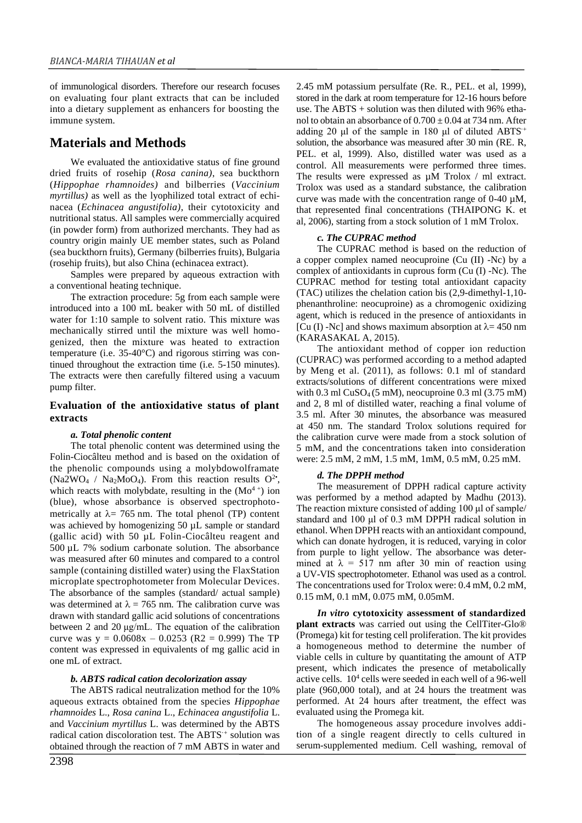of immunological disorders. Therefore our research focuses on evaluating four plant extracts that can be included into a dietary supplement as enhancers for boosting the immune system.

## **Materials and Methods**

We evaluated the antioxidative status of fine ground dried fruits of rosehip (*Rosa canina)*, sea buckthorn (*Hippophae rhamnoides)* and bilberries (*Vaccinium myrtillus)* as well as the lyophilized total extract of echinacea (*Echinacea angustifolia)*, their cytotoxicity and nutritional status. All samples were commercially acquired (in powder form) from authorized merchants. They had as country origin mainly UE member states, such as Poland (sea buckthorn fruits), Germany (bilberries fruits), Bulgaria (rosehip fruits), but also China (echinacea extract).

Samples were prepared by aqueous extraction with a conventional heating technique.

The extraction procedure: 5g from each sample were introduced into a 100 mL beaker with 50 mL of distilled water for 1:10 sample to solvent ratio. This mixture was mechanically stirred until the mixture was well homogenized, then the mixture was heated to extraction temperature (i.e. 35-40°C) and rigorous stirring was continued throughout the extraction time (i.e. 5-150 minutes). The extracts were then carefully filtered using a vacuum pump filter.

### **Evaluation of the antioxidative status of plant extracts**

#### *a. Total phenolic content*

The total phenolic content was determined using the Folin-Ciocâlteu method and is based on the oxidation of the phenolic compounds using a molybdowolframate  $(Na2WO<sub>4</sub> / Na<sub>2</sub>MoO<sub>4</sub>)$ . From this reaction results O<sup>2</sup><sup>\*</sup>, which reacts with molybdate, resulting in the  $(Mo<sup>4+</sup>)$  ion (blue), whose absorbance is observed spectrophotometrically at  $\lambda$  = 765 nm. The total phenol (TP) content was achieved by homogenizing 50  $\mu$ L sample or standard (gallic acid) with 50 µL Folin-Ciocâlteu reagent and 500 µL 7% sodium carbonate solution. The absorbance was measured after 60 minutes and compared to a control sample (containing distilled water) using the FlaxStation microplate spectrophotometer from Molecular Devices. The absorbance of the samples (standard/ actual sample) was determined at  $\lambda = 765$  nm. The calibration curve was drawn with standard gallic acid solutions of concentrations between 2 and 20 μg/mL. The equation of the calibration curve was  $y = 0.0608x - 0.0253$  (R2 = 0.999) The TP content was expressed in equivalents of mg gallic acid in one mL of extract.

#### *b. ABTS radical cation decolorization assay*

The ABTS radical neutralization method for the 10% aqueous extracts obtained from the species *Hippophae rhamnoides* L., *Rosa canina* L., *Echinacea angustifolia* L. and *Vaccinium myrtillus* L. was determined by the ABTS radical cation discoloration test. The ABTS·+ solution was obtained through the reaction of 7 mM ABTS in water and

2.45 mM potassium persulfate (Re. R., PEL. et al, 1999), stored in the dark at room temperature for 12-16 hours before use. The ABTS  $+$  solution was then diluted with 96% ethanol to obtain an absorbance of  $0.700 \pm 0.04$  at 734 nm. After adding 20 μl of the sample in 180 μl of diluted ABTS·+ solution, the absorbance was measured after 30 min (RE. R, PEL. et al, 1999). Also, distilled water was used as a control. All measurements were performed three times. The results were expressed as  $\mu$ M Trolox / ml extract. Trolox was used as a standard substance, the calibration curve was made with the concentration range of 0-40 µM, that represented final concentrations (THAIPONG K. et al, 2006), starting from a stock solution of 1 mM Trolox.

#### *c. The CUPRAC method*

The CUPRAC method is based on the reduction of a copper complex named neocuproine (Cu (II) -Nc) by a complex of antioxidants in cuprous form (Cu (I) -Nc). The CUPRAC method for testing total antioxidant capacity (TAC) utilizes the chelation cation bis (2,9-dimethyl-1,10 phenanthroline: neocuproine) as a chromogenic oxidizing agent, which is reduced in the presence of antioxidants in [Cu (I) -Nc] and shows maximum absorption at  $\lambda$  = 450 nm (KARASAKAL A, 2015).

The antioxidant method of copper ion reduction (CUPRAC) was performed according to a method adapted by Meng et al. (2011), as follows: 0.1 ml of standard extracts/solutions of different concentrations were mixed with  $0.3$  ml CuSO<sub>4</sub> (5 mM), neocuproine  $0.3$  ml  $(3.75 \text{ mM})$ and 2, 8 ml of distilled water, reaching a final volume of 3.5 ml. After 30 minutes, the absorbance was measured at 450 nm. The standard Trolox solutions required for the calibration curve were made from a stock solution of 5 mM, and the concentrations taken into consideration were: 2.5 mM, 2 mM, 1.5 mM, 1mM, 0.5 mM, 0.25 mM.

### *d. The DPPH method*

The measurement of DPPH radical capture activity was performed by a method adapted by Madhu (2013). The reaction mixture consisted of adding 100 μl of sample/ standard and 100 μl of 0.3 mM DPPH radical solution in ethanol. When DPPH reacts with an antioxidant compound, which can donate hydrogen, it is reduced, varying in color from purple to light yellow. The absorbance was determined at  $\lambda = 517$  nm after 30 min of reaction using a UV-VIS spectrophotometer. Ethanol was used as a control. The concentrations used for Trolox were: 0.4 mM, 0.2 mM, 0.15 mM, 0.1 mM, 0.075 mM, 0.05mM.

*In vitro* **cytotoxicity assessment of standardized plant extracts** was carried out using the CellTiter-Glo® (Promega) kit for testing cell proliferation. The kit provides a homogeneous method to determine the number of viable cells in culture by quantitating the amount of ATP present, which indicates the presence of metabolically active cells. 10<sup>4</sup> cells were seeded in each well of a 96-well plate (960,000 total), and at 24 hours the treatment was performed. At 24 hours after treatment, the effect was evaluated using the Promega kit.

The homogeneous assay procedure involves addition of a single reagent directly to cells cultured in serum-supplemented medium. Cell washing, removal of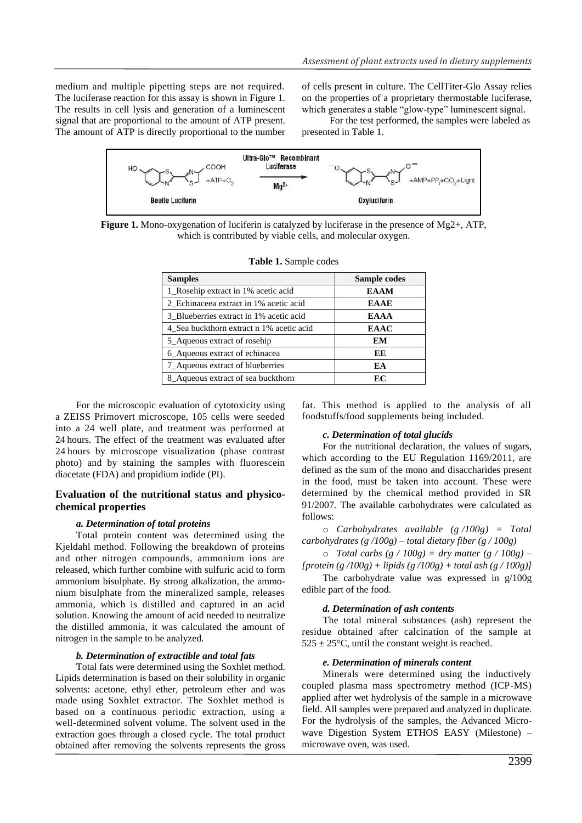medium and multiple pipetting steps are not required. The luciferase reaction for this assay is shown in Figure 1. The results in cell lysis and generation of a luminescent signal that are proportional to the amount of ATP present. The amount of ATP is directly proportional to the number of cells present in culture. The CellTiter-Glo Assay relies on the properties of a proprietary thermostable luciferase, which generates a stable "glow-type" luminescent signal.

For the test performed, the samples were labeled as presented in Table 1.



**Figure 1.** Mono-oxygenation of luciferin is catalyzed by luciferase in the presence of Mg2+, ATP, which is contributed by viable cells, and molecular oxygen.

| <b>Samples</b>                           | Sample codes |  |  |
|------------------------------------------|--------------|--|--|
| 1_Rosehip extract in 1% acetic acid      | <b>EAAM</b>  |  |  |
| 2_Echinaceea extract in 1% acetic acid   | <b>EAAE</b>  |  |  |
| 3 Blueberries extract in 1% acetic acid  | <b>EAAA</b>  |  |  |
| 4 Sea buckthorn extract n 1% acetic acid | <b>EAAC</b>  |  |  |
| 5_Aqueous extract of rosehip             | EM           |  |  |
| 6 Aqueous extract of echinacea           | EЕ           |  |  |
| 7_Aqueous extract of blueberries         | EA           |  |  |
| 8_Aqueous extract of sea buckthorn       | ЕC           |  |  |

|  |  | Table 1. Sample codes |  |
|--|--|-----------------------|--|
|--|--|-----------------------|--|

For the microscopic evaluation of cytotoxicity using a ZEISS Primovert microscope, 105 cells were seeded into a 24 well plate, and treatment was performed at 24 hours. The effect of the treatment was evaluated after 24 hours by microscope visualization (phase contrast photo) and by staining the samples with fluorescein diacetate (FDA) and propidium iodide (PI).

### **Evaluation of the nutritional status and physicochemical properties**

#### *a. Determination of total proteins*

Total protein content was determined using the Kjeldahl method. Following the breakdown of proteins and other nitrogen compounds, ammonium ions are released, which further combine with sulfuric acid to form ammonium bisulphate. By strong alkalization, the ammonium bisulphate from the mineralized sample, releases ammonia, which is distilled and captured in an acid solution. Knowing the amount of acid needed to neutralize the distilled ammonia, it was calculated the amount of nitrogen in the sample to be analyzed.

#### *b. Determination of extractible and total fats*

Total fats were determined using the Soxhlet method. Lipids determination is based on their solubility in organic solvents: acetone, ethyl ether, petroleum ether and was made using Soxhlet extractor. The Soxhlet method is based on a continuous periodic extraction, using a well-determined solvent volume. The solvent used in the extraction goes through a closed cycle. The total product obtained after removing the solvents represents the gross

fat. This method is applied to the analysis of all foodstuffs/food supplements being included.

#### *c. Determination of total glucids*

For the nutritional declaration, the values of sugars, which according to the EU Regulation 1169/2011, are defined as the sum of the mono and disaccharides present in the food, must be taken into account. These were determined by the chemical method provided in SR 91/2007. The available carbohydrates were calculated as follows:

o *Carbohydrates available (g /100g) = Total carbohydrates (g /100g) – total dietary fiber (g / 100g)*

o *Total carbs (g / 100g) = dry matter (g / 100g) – [protein (g /100g) + lipids (g /100g) + total ash (g / 100g)]*

The carbohydrate value was expressed in g/100g edible part of the food.

#### *d. Determination of ash contents*

The total mineral substances (ash) represent the residue obtained after calcination of the sample at  $525 \pm 25^{\circ}$ C, until the constant weight is reached.

#### *e. Determination of minerals content*

Minerals were determined using the inductively coupled plasma mass spectrometry method (ICP-MS) applied after wet hydrolysis of the sample in a microwave field. All samples were prepared and analyzed in duplicate. For the hydrolysis of the samples, the Advanced Microwave Digestion System ETHOS EASY (Milestone) – microwave oven, was used.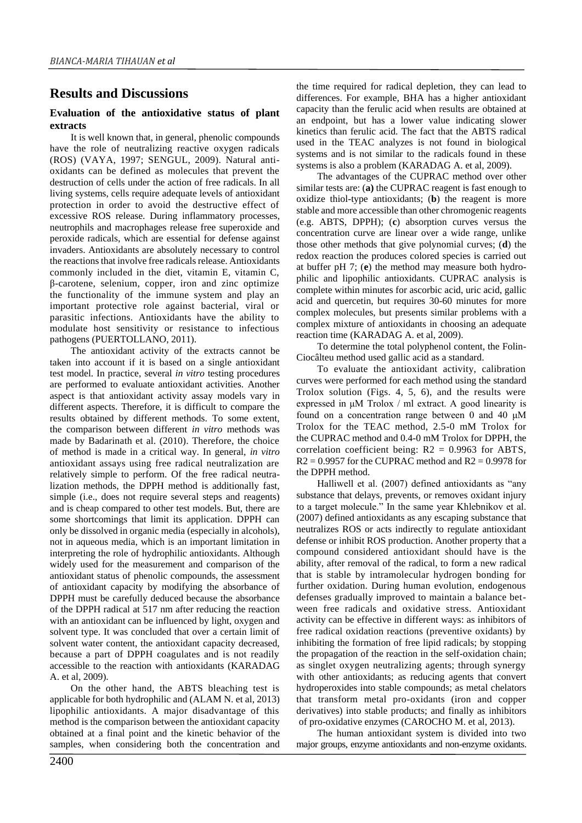# **Results and Discussions**

### **Evaluation of the antioxidative status of plant extracts**

It is well known that, in general, phenolic compounds have the role of neutralizing reactive oxygen radicals (ROS) (VAYA, 1997; SENGUL, 2009). Natural antioxidants can be defined as molecules that prevent the destruction of cells under the action of free radicals. In all living systems, cells require adequate levels of antioxidant protection in order to avoid the destructive effect of excessive ROS release. During inflammatory processes, neutrophils and macrophages release free superoxide and peroxide radicals, which are essential for defense against invaders. Antioxidants are absolutely necessary to control the reactions that involve free radicals release. Antioxidants commonly included in the diet, vitamin E, vitamin C, β-carotene, selenium, copper, iron and zinc optimize the functionality of the immune system and play an important protective role against bacterial, viral or parasitic infections. Antioxidants have the ability to modulate host sensitivity or resistance to infectious pathogens (PUERTOLLANO, 2011).

The antioxidant activity of the extracts cannot be taken into account if it is based on a single antioxidant test model. In practice, several *in vitro* testing procedures are performed to evaluate antioxidant activities. Another aspect is that antioxidant activity assay models vary in different aspects. Therefore, it is difficult to compare the results obtained by different methods. To some extent, the comparison between different *in vitro* methods was made by Badarinath et al. (2010). Therefore, the choice of method is made in a critical way. In general, *in vitro* antioxidant assays using free radical neutralization are relatively simple to perform. Of the free radical neutralization methods, the DPPH method is additionally fast, simple (i.e., does not require several steps and reagents) and is cheap compared to other test models. But, there are some shortcomings that limit its application. DPPH can only be dissolved in organic media (especially in alcohols), not in aqueous media, which is an important limitation in interpreting the role of hydrophilic antioxidants. Although widely used for the measurement and comparison of the antioxidant status of phenolic compounds, the assessment of antioxidant capacity by modifying the absorbance of DPPH must be carefully deduced because the absorbance of the DPPH radical at 517 nm after reducing the reaction with an antioxidant can be influenced by light, oxygen and solvent type. It was concluded that over a certain limit of solvent water content, the antioxidant capacity decreased, because a part of DPPH coagulates and is not readily accessible to the reaction with antioxidants (KARADAG A. et al, 2009).

On the other hand, the ABTS bleaching test is applicable for both hydrophilic and (ALAM N. et al, 2013) lipophilic antioxidants. A major disadvantage of this method is the comparison between the antioxidant capacity obtained at a final point and the kinetic behavior of the samples, when considering both the concentration and

the time required for radical depletion, they can lead to differences. For example, BHA has a higher antioxidant capacity than the ferulic acid when results are obtained at an endpoint, but has a lower value indicating slower kinetics than ferulic acid. The fact that the ABTS radical used in the TEAC analyzes is not found in biological systems and is not similar to the radicals found in these systems is also a problem (KARADAG A. et al, 2009).

The advantages of the CUPRAC method over other similar tests are: (**a)** the CUPRAC reagent is fast enough to oxidize thiol-type antioxidants; (**b**) the reagent is more stable and more accessible than other chromogenic reagents (e.g. ABTS, DPPH); (**c**) absorption curves versus the concentration curve are linear over a wide range, unlike those other methods that give polynomial curves; (**d**) the redox reaction the produces colored species is carried out at buffer pH 7; (**e**) the method may measure both hydrophilic and lipophilic antioxidants. CUPRAC analysis is complete within minutes for ascorbic acid, uric acid, gallic acid and quercetin, but requires 30-60 minutes for more complex molecules, but presents similar problems with a complex mixture of antioxidants in choosing an adequate reaction time (KARADAG A. et al, 2009).

To determine the total polyphenol content, the Folin-Ciocâlteu method used gallic acid as a standard.

To evaluate the antioxidant activity, calibration curves were performed for each method using the standard Trolox solution (Figs. 4, 5, 6), and the results were expressed in μM Trolox / ml extract. A good linearity is found on a concentration range between 0 and 40  $\mu$ M Trolox for the TEAC method, 2.5-0 mM Trolox for the CUPRAC method and 0.4-0 mM Trolox for DPPH, the correlation coefficient being:  $R2 = 0.9963$  for ABTS,  $R2 = 0.9957$  for the CUPRAC method and  $R2 = 0.9978$  for the DPPH method.

Halliwell et al. (2007) defined antioxidants as "any substance that delays, prevents, or removes oxidant injury to a target molecule." In the same year Khlebnikov et al. (2007) defined antioxidants as any escaping substance that neutralizes ROS or acts indirectly to regulate antioxidant defense or inhibit ROS production. Another property that a compound considered antioxidant should have is the ability, after removal of the radical, to form a new radical that is stable by intramolecular hydrogen bonding for further oxidation. During human evolution, endogenous defenses gradually improved to maintain a balance between free radicals and oxidative stress. Antioxidant activity can be effective in different ways: as inhibitors of free radical oxidation reactions (preventive oxidants) by inhibiting the formation of free lipid radicals; by stopping the propagation of the reaction in the self-oxidation chain; as singlet oxygen neutralizing agents; through synergy with other antioxidants; as reducing agents that convert hydroperoxides into stable compounds; as metal chelators that transform metal pro-oxidants (iron and copper derivatives) into stable products; and finally as inhibitors of pro-oxidative enzymes (CAROCHO M. et al, 2013).

The human antioxidant system is divided into two major groups, enzyme antioxidants and non-enzyme oxidants.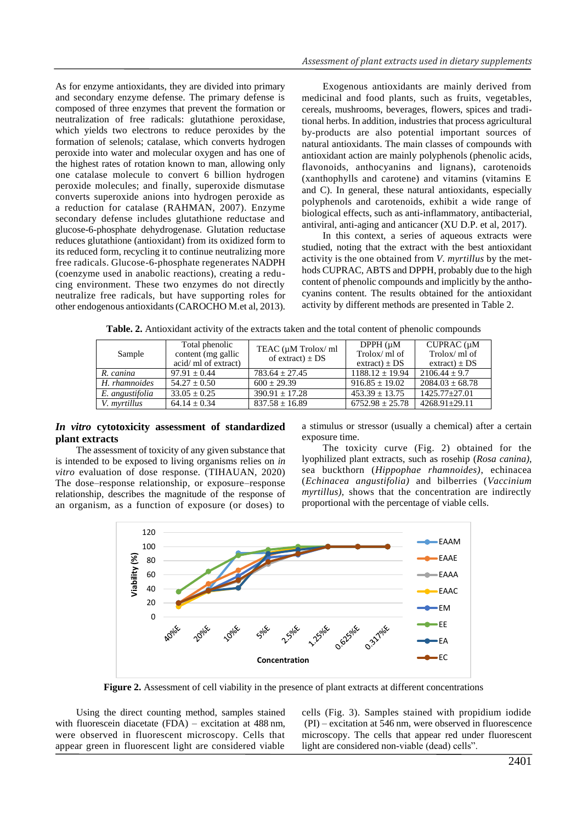As for enzyme antioxidants, they are divided into primary and secondary enzyme defense. The primary defense is composed of three enzymes that prevent the formation or neutralization of free radicals: glutathione peroxidase, which yields two electrons to reduce peroxides by the formation of selenols; catalase, which converts hydrogen peroxide into water and molecular oxygen and has one of the highest rates of rotation known to man, allowing only one catalase molecule to convert 6 billion hydrogen peroxide molecules; and finally, superoxide dismutase converts superoxide anions into hydrogen peroxide as a reduction for catalase (RAHMAN, 2007). Enzyme secondary defense includes glutathione reductase and glucose-6-phosphate dehydrogenase. Glutation reductase reduces glutathione (antioxidant) from its oxidized form to its reduced form, recycling it to continue neutralizing more free radicals. Glucose-6-phosphate regenerates NADPH (coenzyme used in anabolic reactions), creating a reducing environment. These two enzymes do not directly neutralize free radicals, but have supporting roles for other endogenous antioxidants (CAROCHO M.et al, 2013).

Exogenous antioxidants are mainly derived from medicinal and food plants, such as fruits, vegetables, cereals, mushrooms, beverages, flowers, spices and traditional herbs. In addition, industries that process agricultural by-products are also potential important sources of natural antioxidants. The main classes of compounds with antioxidant action are mainly polyphenols (phenolic acids, flavonoids, anthocyanins and lignans), carotenoids (xanthophylls and carotene) and vitamins (vitamins E and C). In general, these natural antioxidants, especially polyphenols and carotenoids, exhibit a wide range of biological effects, such as anti-inflammatory, antibacterial, antiviral, anti-aging and anticancer (XU D.P. et al, 2017).

In this context, a series of aqueous extracts were studied, noting that the extract with the best antioxidant activity is the one obtained from *V. myrtillus* by the methods CUPRAC, ABTS and DPPH, probably due to the high content of phenolic compounds and implicitly by the anthocyanins content. The results obtained for the antioxidant activity by different methods are presented in Table 2.

| Sample          | Total phenolic       | TEAC (µM Trolox/ ml<br>of extract) $\pm$ DS | DPPH (µM)           | $CUPRAC$ ( $\mu$ M  |
|-----------------|----------------------|---------------------------------------------|---------------------|---------------------|
|                 | content (mg gallic)  |                                             | $Trolox/ml$ of      | Trolox/ml of        |
|                 | acid/ ml of extract) |                                             | $extract) \pm DS$   | $extract) \pm DS$   |
| R. canina       | $97.91 + 0.44$       | $783.64 \pm 27.45$                          | $1188.12 \pm 19.94$ | $2106.44 + 9.7$     |
| H. rhamnoides   | $54.27 \pm 0.50$     | $600 + 29.39$                               | $916.85 \pm 19.02$  | $2084.03 \pm 68.78$ |
| E. angustifolia | $33.05 \pm 0.25$     | $390.91 \pm 17.28$                          | $453.39 \pm 13.75$  | $1425.77 \pm 27.01$ |
| V. myrtillus    | $64.14 \pm 0.34$     | $837.58 \pm 16.89$                          | $6752.98 \pm 25.78$ | $4268.91 \pm 29.11$ |

**Table. 2.** Antioxidant activity of the extracts taken and the total content of phenolic compounds

### *In vitro* **cytotoxicity assessment of standardized plant extracts**

The assessment of toxicity of any given substance that is intended to be exposed to living organisms relies on *in vitro* evaluation of dose response. (TIHAUAN, 2020) The dose–response relationship, or exposure–response relationship, describes the magnitude of the response of an organism, as a function of exposure (or doses) to

a stimulus or stressor (usually a chemical) after a certain exposure time.

The toxicity curve (Fig. 2) obtained for the lyophilized plant extracts, such as rosehip (*Rosa canina)*, sea buckthorn (*Hippophae rhamnoides)*, echinacea (*Echinacea angustifolia)* and bilberries (*Vaccinium myrtillus),* shows that the concentration are indirectly proportional with the percentage of viable cells.



**Figure 2.** Assessment of cell viability in the presence of plant extracts at different concentrations

Using the direct counting method, samples stained with fluorescein diacetate (FDA) – excitation at 488 nm, were observed in fluorescent microscopy. Cells that appear green in fluorescent light are considered viable

cells (Fig. 3). Samples stained with propidium iodide (PI) – excitation at 546 nm, were observed in fluorescence microscopy. The cells that appear red under fluorescent light are considered non-viable (dead) cells".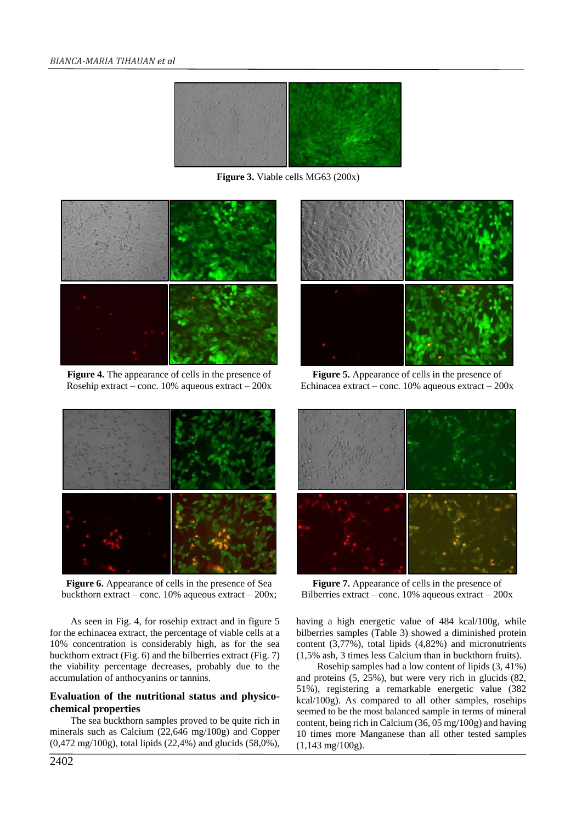

**Figure 3.** Viable cells MG63 (200x)



**Figure 4.** The appearance of cells in the presence of Rosehip extract – conc. 10% aqueous extract – 200x



**Figure 5.** Appearance of cells in the presence of Echinacea extract – conc.  $10\%$  aqueous extract –  $200x$ 



**Figure 6.** Appearance of cells in the presence of Sea buckthorn extract – conc. 10% aqueous extract – 200x;

As seen in Fig. 4, for rosehip extract and in figure 5 for the echinacea extract, the percentage of viable cells at a 10% concentration is considerably high, as for the sea buckthorn extract (Fig. 6) and the bilberries extract (Fig. 7) the viability percentage decreases, probably due to the accumulation of anthocyanins or tannins.

### **Evaluation of the nutritional status and physicochemical properties**

The sea buckthorn samples proved to be quite rich in minerals such as Calcium (22,646 mg/100g) and Copper (0,472 mg/100g), total lipids (22,4%) and glucids (58,0%),



**Figure 7.** Appearance of cells in the presence of Bilberries extract – conc.  $10\%$  aqueous extract –  $200x$ 

having a high energetic value of 484 kcal/100g, while bilberries samples (Table 3) showed a diminished protein content (3,77%), total lipids (4,82%) and micronutrients (1,5% ash, 3 times less Calcium than in buckthorn fruits).

Rosehip samples had a low content of lipids (3, 41%) and proteins (5, 25%), but were very rich in glucids (82, 51%), registering a remarkable energetic value (382 kcal/100g). As compared to all other samples, rosehips seemed to be the most balanced sample in terms of mineral content, being rich in Calcium (36, 05 mg/100g) and having 10 times more Manganese than all other tested samples (1,143 mg/100g).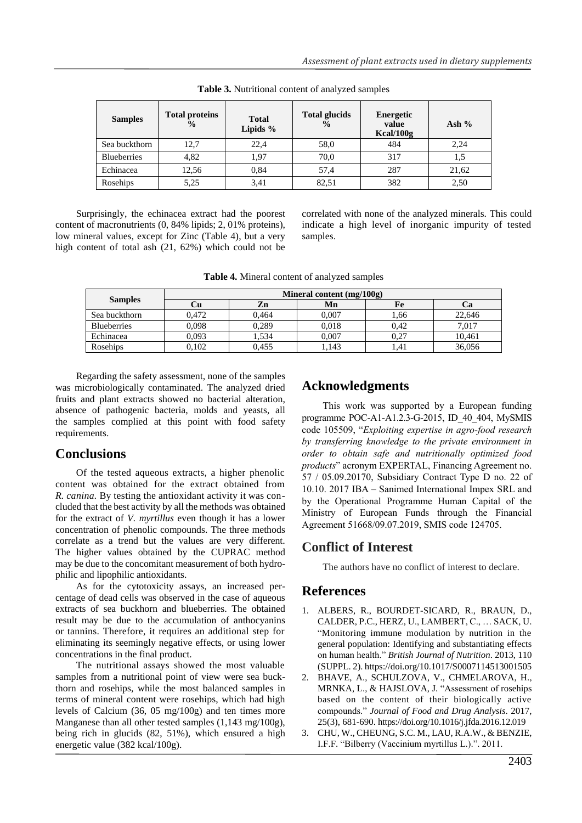| <b>Samples</b>     | <b>Total proteins</b><br>$\frac{6}{9}$ | <b>Total</b><br>Lipids $%$ | <b>Total glucids</b><br>$\%$ | <b>Energetic</b><br>value<br>Kcal/100g | Ash $%$ |
|--------------------|----------------------------------------|----------------------------|------------------------------|----------------------------------------|---------|
| Sea buckthorn      | 12.7                                   | 22,4                       | 58,0                         | 484                                    | 2,24    |
| <b>Blueberries</b> | 4.82                                   | 1,97                       | 70,0                         | 317                                    | 1,5     |
| Echinacea          | 12,56                                  | 0.84                       | 57,4                         | 287                                    | 21,62   |
| Rosehips           | 5,25                                   | 3,41                       | 82,51                        | 382                                    | 2,50    |

**Table 3.** Nutritional content of analyzed samples

Surprisingly, the echinacea extract had the poorest content of macronutrients (0, 84% lipids; 2, 01% proteins), low mineral values, except for Zinc (Table 4), but a very high content of total ash (21, 62%) which could not be correlated with none of the analyzed minerals. This could indicate a high level of inorganic impurity of tested samples.

|  | Table 4. Mineral content of analyzed samples |  |
|--|----------------------------------------------|--|
|  |                                              |  |

| <b>Samples</b>     | Mineral content $(mg/100g)$ |       |       |      |        |
|--------------------|-----------------------------|-------|-------|------|--------|
|                    | ∪u                          | Zn    | Mn    | Fe   |        |
| Sea buckthorn      | 0.472                       | 0,464 | 0,007 | 1,66 | 22,646 |
| <b>Blueberries</b> | 0,098                       | 0,289 | 0,018 | 0.42 | 7.017  |
| Echinacea          | 0,093                       | .534  | 0,007 | 0,27 | 10,461 |
| Rosehips           | 0.102                       | 0.455 | .143  | 1.41 | 36,056 |

Regarding the safety assessment, none of the samples was microbiologically contaminated. The analyzed dried fruits and plant extracts showed no bacterial alteration, absence of pathogenic bacteria, molds and yeasts, all the samples complied at this point with food safety requirements.

# **Conclusions**

Of the tested aqueous extracts, a higher phenolic content was obtained for the extract obtained from *R. canina.* By testing the antioxidant activity it was concluded that the best activity by all the methods was obtained for the extract of *V. myrtillus* even though it has a lower concentration of phenolic compounds. The three methods correlate as a trend but the values are very different. The higher values obtained by the CUPRAC method may be due to the concomitant measurement of both hydrophilic and lipophilic antioxidants.

As for the cytotoxicity assays, an increased percentage of dead cells was observed in the case of aqueous extracts of sea buckhorn and blueberries. The obtained result may be due to the accumulation of anthocyanins or tannins. Therefore, it requires an additional step for eliminating its seemingly negative effects, or using lower concentrations in the final product.

The nutritional assays showed the most valuable samples from a nutritional point of view were sea buckthorn and rosehips, while the most balanced samples in terms of mineral content were rosehips, which had high levels of Calcium (36, 05 mg/100g) and ten times more Manganese than all other tested samples (1,143 mg/100g), being rich in glucids (82, 51%), which ensured a high energetic value (382 kcal/100g).

# **Acknowledgments**

This work was supported by a European funding programme POC-A1-A1.2.3-G-2015, ID\_40\_404, MySMIS code 105509, "*Exploiting expertise in agro-food research by transferring knowledge to the private environment in order to obtain safe and nutritionally optimized food products*" acronym EXPERTAL, Financing Agreement no. 57 / 05.09.20170, Subsidiary Contract Type D no. 22 of 10.10. 2017 IBA – Sanimed International Impex SRL and by the Operational Programme Human Capital of the Ministry of European Funds through the Financial Agreement 51668/09.07.2019, SMIS code 124705.

# **Conflict of Interest**

The authors have no conflict of interest to declare.

# **References**

- 1. ALBERS, R., BOURDET-SICARD, R., BRAUN, D., CALDER, P.C., HERZ, U., LAMBERT, C., … SACK, U. "Monitoring immune modulation by nutrition in the general population: Identifying and substantiating effects on human health." *British Journal of Nutrition*. 2013, 110 (SUPPL. 2). https://doi.org/10.1017/S0007114513001505
- 2. BHAVE, A., SCHULZOVA, V., CHMELAROVA, H., MRNKA, L., & HAJSLOVA, J. "Assessment of rosehips based on the content of their biologically active compounds." *Journal of Food and Drug Analysis*. 2017, 25(3), 681-690. https://doi.org/10.1016/j.jfda.2016.12.019
- 3. CHU, W., CHEUNG, S.C. M., LAU, R.A.W., & BENZIE, I.F.F. "Bilberry (Vaccinium myrtillus L.).". 2011.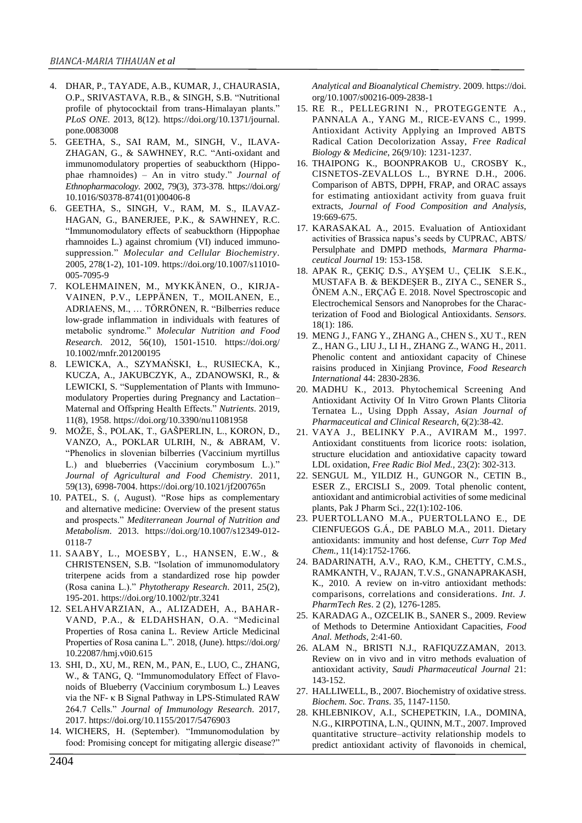- 4. DHAR, P., TAYADE, A.B., KUMAR, J., CHAURASIA, O.P., SRIVASTAVA, R.B., & SINGH, S.B. "Nutritional profile of phytococktail from trans-Himalayan plants." *PLoS ONE*. 2013, 8(12). https://doi.org/10.1371/journal. pone.0083008
- 5. GEETHA, S., SAI RAM, M., SINGH, V., ILAVA-ZHAGAN, G., & SAWHNEY, R.C. "Anti-oxidant and immunomodulatory properties of seabuckthorn (Hippophae rhamnoides) – An in vitro study." *Journal of Ethnopharmacology*. 2002, 79(3), 373-378. https://doi.org/ 10.1016/S0378-8741(01)00406-8
- 6. GEETHA, S., SINGH, V., RAM, M. S., ILAVAZ-HAGAN, G., BANERJEE, P.K., & SAWHNEY, R.C. "Immunomodulatory effects of seabuckthorn (Hippophae rhamnoides L.) against chromium (VI) induced immunosuppression." *Molecular and Cellular Biochemistry*. 2005, 278(1-2), 101-109. https://doi.org/10.1007/s11010- 005-7095-9
- 7. KOLEHMAINEN, M., MYKKÄNEN, O., KIRJA-VAINEN, P.V., LEPPÄNEN, T., MOILANEN, E., ADRIAENS, M., … TÖRRÖNEN, R. "Bilberries reduce low-grade inflammation in individuals with features of metabolic syndrome." *Molecular Nutrition and Food Research*. 2012, 56(10), 1501-1510. https://doi.org/ 10.1002/mnfr.201200195
- 8. LEWICKA, A., SZYMAŃSKI, Ł., RUSIECKA, K., KUCZA, A., JAKUBCZYK, A., ZDANOWSKI, R., & LEWICKI, S. "Supplementation of Plants with Immunomodulatory Properties during Pregnancy and Lactation– Maternal and Offspring Health Effects." *Nutrients*. 2019, 11(8), 1958. https://doi.org/10.3390/nu11081958
- 9. MOŽE, Š., POLAK, T., GAŠPERLIN, L., KORON, D., VANZO, A., POKLAR ULRIH, N., & ABRAM, V. "Phenolics in slovenian bilberries (Vaccinium myrtillus L.) and blueberries (Vaccinium corymbosum L.)." *Journal of Agricultural and Food Chemistry*. 2011, 59(13), 6998-7004. https://doi.org/10.1021/jf200765n
- 10. PATEL, S. (, August). "Rose hips as complementary and alternative medicine: Overview of the present status and prospects." *Mediterranean Journal of Nutrition and Metabolism*. 2013. https://doi.org/10.1007/s12349-012- 0118-7
- 11. SAABY, L., MOESBY, L., HANSEN, E.W., & CHRISTENSEN, S.B. "Isolation of immunomodulatory triterpene acids from a standardized rose hip powder (Rosa canina L.)." *Phytotherapy Research*. 2011, 25(2), 195-201. https://doi.org/10.1002/ptr.3241
- 12. SELAHVARZIAN, A., ALIZADEH, A., BAHAR-VAND, P.A., & ELDAHSHAN, O.A. "Medicinal Properties of Rosa canina L. Review Article Medicinal Properties of Rosa canina L.". 2018, (June). https://doi.org/ 10.22087/hmj.v0i0.615
- 13. SHI, D., XU, M., REN, M., PAN, E., LUO, C., ZHANG, W., & TANG, Q. "Immunomodulatory Effect of Flavonoids of Blueberry (Vaccinium corymbosum L.) Leaves via the NF- κ B Signal Pathway in LPS-Stimulated RAW 264.7 Cells." *Journal of Immunology Research*. 2017, 2017. https://doi.org/10.1155/2017/5476903
- 14. WICHERS, H. (September). "Immunomodulation by food: Promising concept for mitigating allergic disease?"

*Analytical and Bioanalytical Chemistry*. 2009. https://doi. org/10.1007/s00216-009-2838-1

- 15. RE R., PELLEGRINI N., PROTEGGENTE A., PANNALA A., YANG M., RICE-EVANS C., 1999. Antioxidant Activity Applying an Improved ABTS Radical Cation Decolorization Assay, *Free Radical Biology & Medicine*, 26(9/10): 1231-1237.
- 16. THAIPONG K., BOONPRAKOB U., CROSBY K., CISNETOS-ZEVALLOS L., BYRNE D.H., 2006. Comparison of ABTS, DPPH, FRAP, and ORAC assays for estimating antioxidant activity from guava fruit extracts, *Journal of Food Composition and Analysis*, 19:669-675.
- 17. KARASAKAL A., 2015. Evaluation of Antioxidant activities of Brassica napus's seeds by CUPRAC, ABTS/ Persulphate and DMPD methods, *Marmara Pharmaceutical Journal* 19: 153-158.
- 18. APAK R., ÇEKIÇ D.S., AYŞEM U., ÇELIK S.E.K., MUSTAFA B. & BEKDEŞER B., ZIYA C., SENER S., ÖNEM A.N., ERÇAĞ E. 2018. Novel Spectroscopic and Electrochemical Sensors and Nanoprobes for the Characterization of Food and Biological Antioxidants. *Sensors*. 18(1): 186.
- 19. MENG J., FANG Y., ZHANG A., CHEN S., XU T., REN Z., HAN G., LIU J., LI H., ZHANG Z., WANG H., 2011. Phenolic content and antioxidant capacity of Chinese raisins produced in Xinjiang Province*, Food Research International* 44: 2830-2836.
- 20. MADHU K., 2013. Phytochemical Screening And Antioxidant Activity Of In Vitro Grown Plants Clitoria Ternatea L., Using Dpph Assay, *Asian Journal of Pharmaceutical and Clinical Research,* 6(2):38-42.
- 21. VAYA J., BELINKY P.A., AVIRAM M., 1997. Antioxidant constituents from licorice roots: isolation, structure elucidation and antioxidative capacity toward LDL oxidation, *Free Radic Biol Med.,* 23(2): 302-313.
- 22. SENGUL M., YILDIZ H., GUNGOR N., CETIN B., ESER Z., ERCISLI S., 2009. Total phenolic content, antioxidant and antimicrobial activities of some medicinal plants, Pak J Pharm Sci., 22(1):102-106.
- 23. PUERTOLLANO M.A., PUERTOLLANO E., DE CIENFUEGOS G.Á., DE PABLO M.A., 2011. Dietary antioxidants: immunity and host defense, *Curr Top Med Chem.*, 11(14):1752-1766.
- 24. BADARINATH, A.V., RAO, K.M., CHETTY, C.M.S., RAMKANTH, V., RAJAN, T.V.S., GNANAPRAKASH, K., 2010. A review on in-vitro antioxidant methods: comparisons, correlations and considerations. *Int. J. PharmTech Res*. 2 (2), 1276-1285.
- 25. KARADAG A., OZCELIK B., SANER S., 2009. Review of Methods to Determine Antioxidant Capacities, *Food Anal. Methods*, 2:41-60.
- 26. ALAM N., BRISTI N.J., RAFIQUZZAMAN, 2013. Review on in vivo and in vitro methods evaluation of antioxidant activity, *Saudi Pharmaceutical Journal* 21: 143-152.
- 27. HALLIWELL, B., 2007. Biochemistry of oxidative stress. *Biochem. Soc*. *Trans*. 35, 1147-1150.
- 28. KHLEBNIKOV, A.I., SCHEPETKIN, I.A., DOMINA, N.G., KIRPOTINA, L.N., QUINN, M.T., 2007. Improved quantitative structure–activity relationship models to predict antioxidant activity of flavonoids in chemical,